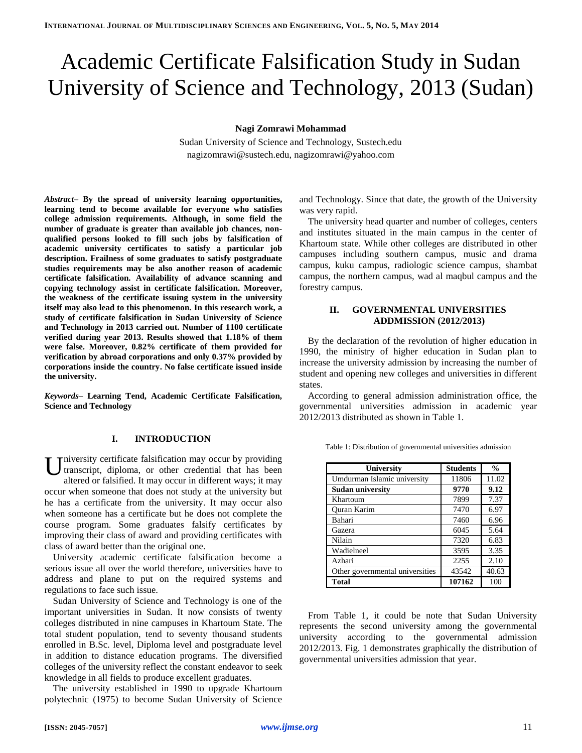# Academic Certificate Falsification Study in Sudan University of Science and Technology, 2013 (Sudan)

**Nagi Zomrawi Mohammad**

Sudan University of Science and Technology, Sustech.edu nagizomrawi@sustech.edu, nagizomrawi@yahoo.com

*Abstract–* **By the spread of university learning opportunities, learning tend to become available for everyone who satisfies college admission requirements. Although, in some field the number of graduate is greater than available job chances, nonqualified persons looked to fill such jobs by falsification of academic university certificates to satisfy a particular job description. Frailness of some graduates to satisfy postgraduate studies requirements may be also another reason of academic certificate falsification. Availability of advance scanning and copying technology assist in certificate falsification. Moreover, the weakness of the certificate issuing system in the university itself may also lead to this phenomenon. In this research work, a study of certificate falsification in Sudan University of Science and Technology in 2013 carried out. Number of 1100 certificate verified during year 2013. Results showed that 1.18% of them were false. Moreover, 0.82% certificate of them provided for verification by abroad corporations and only 0.37% provided by corporations inside the country. No false certificate issued inside the university.**

*Keywords–* **Learning Tend, Academic Certificate Falsification, Science and Technology**

#### **I. INTRODUCTION**

niversity certificate falsification may occur by providing transcript, diploma, or other credential that has been altered or falsified. It may occur in different ways; it may occur when someone that does not study at the university but he has a certificate from the university. It may occur also when someone has a certificate but he does not complete the course program. Some graduates falsify certificates by improving their class of award and providing certificates with class of award better than the original one. U

University academic certificate falsification become a serious issue all over the world therefore, universities have to address and plane to put on the required systems and regulations to face such issue.

Sudan University of Science and Technology is one of the important universities in Sudan. It now consists of twenty colleges distributed in nine campuses in Khartoum State. The total student population, tend to seventy thousand students enrolled in B.Sc. level, Diploma level and postgraduate level in addition to distance education programs. The diversified colleges of the university reflect the constant endeavor to seek knowledge in all fields to produce excellent graduates.

The university established in 1990 to upgrade Khartoum polytechnic (1975) to become Sudan University of Science and Technology. Since that date, the growth of the University was very rapid.

The university head quarter and number of colleges, centers and institutes situated in the main campus in the center of Khartoum state. While other colleges are distributed in other campuses including southern campus, music and drama campus, kuku campus, radiologic science campus, shambat campus, the northern campus, wad al maqbul campus and the forestry campus.

#### **II. GOVERNMENTAL UNIVERSITIES ADDMISSION (2012/2013)**

By the declaration of the revolution of higher education in 1990, the ministry of higher education in Sudan plan to increase the university admission by increasing the number of student and opening new colleges and universities in different states.

According to general admission administration office, the governmental universities admission in academic year 2012/2013 distributed as shown in Table 1.

| University                      | <b>Students</b> | $\frac{0}{0}$ |
|---------------------------------|-----------------|---------------|
| Umdurman Islamic university     | 11806           | 11.02         |
| Sudan university                | 9770            | 9.12          |
| Khartoum                        | 7899            | 7.37          |
| <b>Ouran Karim</b>              | 7470            | 6.97          |
| Bahari                          | 7460            | 6.96          |
| Gazera                          | 6045            | 5.64          |
| Nilain                          | 7320            | 6.83          |
| Wadielneel                      | 3595            | 3.35          |
| Azhari                          | 2255            | 2.10          |
| Other governmental universities | 43542           | 40.63         |
| <b>Total</b>                    | 107162          | 100           |

Table 1: Distribution of governmental universities admission

From Table 1, it could be note that Sudan University represents the second university among the governmental university according to the governmental admission 2012/2013. Fig. 1 demonstrates graphically the distribution of governmental universities admission that year.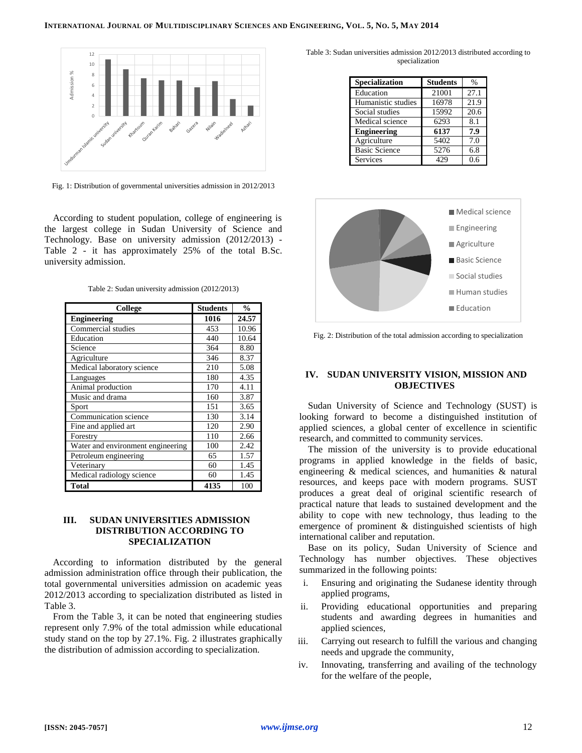

Fig. 1: Distribution of governmental universities admission in 2012/2013

According to student population, college of engineering is the largest college in Sudan University of Science and Technology. Base on university admission (2012/2013) - Table 2 - it has approximately 25% of the total B.Sc. university admission.

Table 2: Sudan university admission (2012/2013)

| College                           | <b>Students</b> | $\frac{0}{0}$ |
|-----------------------------------|-----------------|---------------|
| <b>Engineering</b>                | 1016            | 24.57         |
| Commercial studies                | 453             | 10.96         |
| Education                         | 440             | 10.64         |
| Science                           | 364             | 8.80          |
| Agriculture                       | 346             | 8.37          |
| Medical laboratory science        | 210             | 5.08          |
| Languages                         | 180             | 4.35          |
| Animal production                 | 170             | 4.11          |
| Music and drama                   | 160             | 3.87          |
| Sport                             | 151             | 3.65          |
| Communication science             | 130             | 3.14          |
| Fine and applied art              | 120             | 2.90          |
| Forestry                          | 110             | 2.66          |
| Water and environment engineering | 100             | 2.42          |
| Petroleum engineering             | 65              | 1.57          |
| Veterinary                        | 60              | 1.45          |
| Medical radiology science         | 60              | 1.45          |
| Total                             | 4135            | 100           |

## **III. SUDAN UNIVERSITIES ADMISSION DISTRIBUTION ACCORDING TO SPECIALIZATION**

According to information distributed by the general admission administration office through their publication, the total governmental universities admission on academic yeas 2012/2013 according to specialization distributed as listed in Table 3.

From the Table 3, it can be noted that engineering studies represent only 7.9% of the total admission while educational study stand on the top by 27.1%. Fig. 2 illustrates graphically the distribution of admission according to specialization.

Table 3: Sudan universities admission 2012/2013 distributed according to specialization

| Specialization       | <b>Students</b> | $\%$ |
|----------------------|-----------------|------|
| Education            | 21001           | 27.1 |
| Humanistic studies   | 16978           | 21.9 |
| Social studies       | 15992           | 20.6 |
| Medical science      | 6293            | 8.1  |
| <b>Engineering</b>   | 6137            | 7.9  |
| Agriculture          | 5402            | 7.0  |
| <b>Basic Science</b> | 5276            | 6.8  |
| Services             | 429             | 0.6  |



Fig. 2: Distribution of the total admission according to specialization

## **IV. SUDAN UNIVERSITY VISION, MISSION AND OBJECTIVES**

Sudan University of Science and Technology (SUST) is looking forward to become a distinguished institution of applied sciences, a global center of excellence in scientific research, and committed to community services.

The mission of the university is to provide educational programs in applied knowledge in the fields of basic, engineering & medical sciences, and humanities & natural resources, and keeps pace with modern programs. SUST produces a great deal of original scientific research of practical nature that leads to sustained development and the ability to cope with new technology, thus leading to the emergence of prominent & distinguished scientists of high international caliber and reputation.

Base on its policy, Sudan University of Science and Technology has number objectives. These objectives summarized in the following points:

- i. Ensuring and originating the Sudanese identity through applied programs,
- ii. Providing educational opportunities and preparing students and awarding degrees in humanities and applied sciences,
- iii. Carrying out research to fulfill the various and changing needs and upgrade the community,
- iv. Innovating, transferring and availing of the technology for the welfare of the people,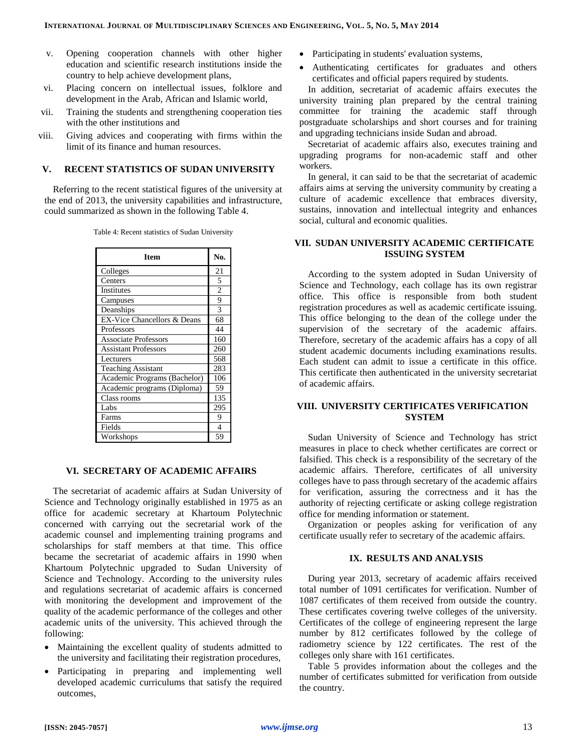- v. Opening cooperation channels with other higher education and scientific research institutions inside the country to help achieve development plans,
- vi. Placing concern on intellectual issues, folklore and development in the Arab, African and Islamic world,
- vii. Training the students and strengthening cooperation ties with the other institutions and
- viii. Giving advices and cooperating with firms within the limit of its finance and human resources.

#### **V. RECENT STATISTICS OF SUDAN UNIVERSITY**

Referring to the recent statistical figures of the university at the end of 2013, the university capabilities and infrastructure, could summarized as shown in the following Table 4.

|  |  |  |  | Table 4: Recent statistics of Sudan University |
|--|--|--|--|------------------------------------------------|
|--|--|--|--|------------------------------------------------|

| <b>Item</b>                            | No.            |
|----------------------------------------|----------------|
| Colleges                               | 21             |
| Centers                                | 5              |
| <b>Institutes</b>                      | $\overline{c}$ |
| Campuses                               | 9              |
| Deanships                              | 3              |
| <b>EX-Vice Chancellors &amp; Deans</b> | 68             |
| Professors                             | 44             |
| <b>Associate Professors</b>            | 160            |
| <b>Assistant Professors</b>            | 260            |
| Lecturers                              | 568            |
| <b>Teaching Assistant</b>              | 283            |
| Academic Programs (Bachelor)           | 106            |
| Academic programs (Diploma)            | 59             |
| Class rooms                            | 135            |
| Labs                                   | 295            |
| Farms                                  | 9              |
| Fields                                 | 4              |
| Workshops                              | 59             |

### **VI. SECRETARY OF ACADEMIC AFFAIRS**

The secretariat of academic affairs at Sudan University of Science and Technology originally established in 1975 as an office for academic secretary at Khartoum Polytechnic concerned with carrying out the secretarial work of the academic counsel and implementing training programs and scholarships for staff members at that time. This office became the secretariat of academic affairs in 1990 when Khartoum Polytechnic upgraded to Sudan University of Science and Technology. According to the university rules and regulations secretariat of academic affairs is concerned with monitoring the development and improvement of the quality of the academic performance of the colleges and other academic units of the university. This achieved through the following:

- Maintaining the excellent quality of students admitted to the university and facilitating their registration procedures,
- Participating in preparing and implementing well developed academic curriculums that satisfy the required outcomes,
- Participating in students' evaluation systems,
- Authenticating certificates for graduates and others certificates and official papers required by students.

In addition, secretariat of academic affairs executes the university training plan prepared by the central training committee for training the academic staff through postgraduate scholarships and short courses and for training and upgrading technicians inside Sudan and abroad.

Secretariat of academic affairs also, executes training and upgrading programs for non-academic staff and other workers.

In general, it can said to be that the secretariat of academic affairs aims at serving the university community by creating a culture of academic excellence that embraces diversity, sustains, innovation and intellectual integrity and enhances social, cultural and economic qualities.

### **VII. SUDAN UNIVERSITY ACADEMIC CERTIFICATE ISSUING SYSTEM**

According to the system adopted in Sudan University of Science and Technology, each collage has its own registrar office. This office is responsible from both student registration procedures as well as academic certificate issuing. This office belonging to the dean of the college under the supervision of the secretary of the academic affairs. Therefore, secretary of the academic affairs has a copy of all student academic documents including examinations results. Each student can admit to issue a certificate in this office. This certificate then authenticated in the university secretariat of academic affairs.

#### **VIII. UNIVERSITY CERTIFICATES VERIFICATION SYSTEM**

Sudan University of Science and Technology has strict measures in place to check whether certificates are correct or falsified. This check is a responsibility of the secretary of the academic affairs. Therefore, certificates of all university colleges have to pass through secretary of the academic affairs for verification, assuring the correctness and it has the authority of rejecting certificate or asking college registration office for mending information or statement.

Organization or peoples asking for verification of any certificate usually refer to secretary of the academic affairs.

## **IX. RESULTS AND ANALYSIS**

During year 2013, secretary of academic affairs received total number of 1091 certificates for verification. Number of 1087 certificates of them received from outside the country. These certificates covering twelve colleges of the university. Certificates of the college of engineering represent the large number by 812 certificates followed by the college of radiometry science by 122 certificates. The rest of the colleges only share with 161 certificates.

Table 5 provides information about the colleges and the number of certificates submitted for verification from outside the country.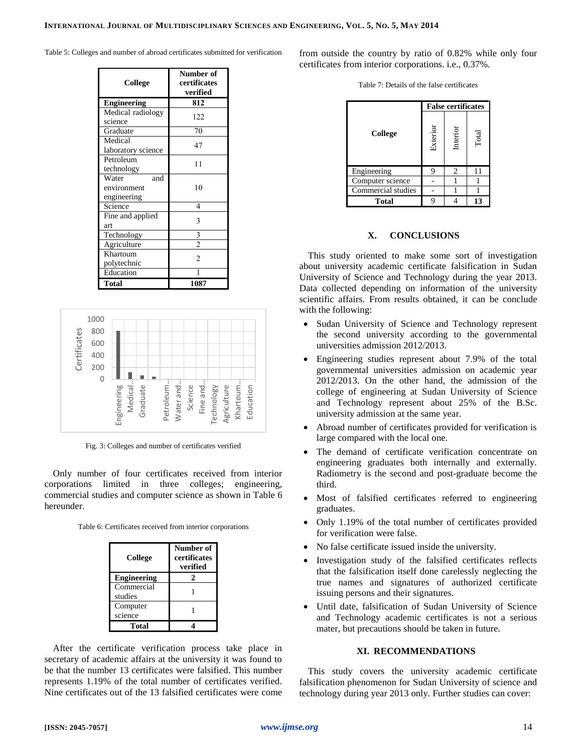Table 5: Colleges and number of abroad certificates submitted for verification

| College            | Number of<br>certificates<br>verified |
|--------------------|---------------------------------------|
| <b>Engineering</b> | 812                                   |
| Medical radiology  | 122                                   |
| science            |                                       |
| Graduate           | 70                                    |
| Medical            | 47                                    |
| laboratory science |                                       |
| Petroleum          | 11                                    |
| technology         |                                       |
| Water<br>and       |                                       |
| environment        | 10                                    |
| engineering        |                                       |
| Science            | 4                                     |
| Fine and applied   | 3                                     |
| art                |                                       |
| Technology         | $rac{3}{2}$                           |
| Agriculture        |                                       |
| Khartoum           | $\mathfrak{D}$                        |
| polytechnic        |                                       |
| Education          |                                       |
| <b>Total</b>       | 1087                                  |



Fig. 3: Colleges and number of certificates verified

Only number of four certificates received from interior corporations limited in three colleges; engineering, commercial studies and computer science as shown in Table 6 hereunder.

| College            | Number of<br>certificates<br>verified |
|--------------------|---------------------------------------|
| <b>Engineering</b> |                                       |
| Commercial         |                                       |
| studies            |                                       |
| Computer           |                                       |
| science            |                                       |
| Total              |                                       |

After the certificate verification process take place in secretary of academic affairs at the university it was found to be that the number 13 certificates were falsified. This number represents 1.19% of the total number of certificates verified. Nine certificates out of the 13 falsified certificates were come

from outside the country by ratio of 0.82% while only four certificates from interior corporations. i.e., 0.37%.

| Table 7: Details of the false certificates |  |  |
|--------------------------------------------|--|--|
|                                            |  |  |

|                    | <b>False certificates</b> |                |       |  |
|--------------------|---------------------------|----------------|-------|--|
| College            | Exterior                  | Interior       | Total |  |
| Engineering        | 9                         | $\overline{c}$ | 11    |  |
| Computer science   |                           |                |       |  |
| Commercial studies |                           |                |       |  |
| Total              |                           |                | 13    |  |

### **X. CONCLUSIONS**

This study oriented to make some sort of investigation about university academic certificate falsification in Sudan University of Science and Technology during the year 2013. Data collected depending on information of the university scientific affairs. From results obtained, it can be conclude with the following:

- Sudan University of Science and Technology represent the second university according to the governmental universities admission 2012/2013.
- Engineering studies represent about 7.9% of the total governmental universities admission on academic year 2012/2013. On the other hand, the admission of the college of engineering at Sudan University of Science and Technology represent about 25% of the B.Sc. university admission at the same year.
- Abroad number of certificates provided for verification is large compared with the local one.
- The demand of certificate verification concentrate on engineering graduates both internally and externally. Radiometry is the second and post-graduate become the third.
- Most of falsified certificates referred to engineering graduates.
- Only 1.19% of the total number of certificates provided for verification were false.
- No false certificate issued inside the university.
- Investigation study of the falsified certificates reflects that the falsification itself done carelessly neglecting the true names and signatures of authorized certificate issuing persons and their signatures.
- Until date, falsification of Sudan University of Science and Technology academic certificates is not a serious mater, but precautions should be taken in future.

# **XI. RECOMMENDATIONS**

This study covers the university academic certificate falsification phenomenon for Sudan University of science and technology during year 2013 only. Further studies can cover: